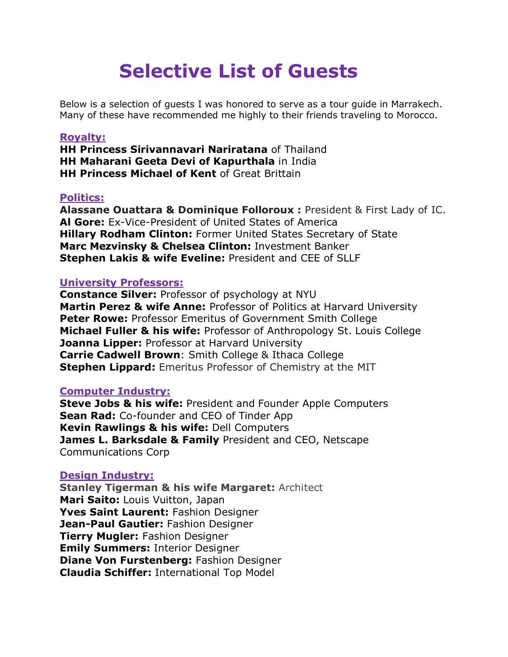# **Selective List of Guests**

Below is a selection of guests I was honored to serve as a tour guide in Marrakech. Many of these have recommended me highly to their friends traveling to Morocco.

#### **Royalty:**

**HH Princess Sirivannavari Nariratana** of Thailand **HH Maharani Geeta Devi of Kapurthala** in India **HH Princess Michael of Kent** of Great Brittain

#### **Politics:**

**Alassane Ouattara & Dominique Folloroux :** President & First Lady of IC. **Al Gore:** Ex-Vice-President of United States of America **Hillary Rodham Clinton:** Former United States Secretary of State **Marc Mezvinsky & Chelsea Clinton:** Investment Banker **Stephen Lakis & wife Eveline:** President and CEE of SLLF

#### **University Professors:**

**Constance Silver:** Professor of psychology at NYU **Martin Perez & wife Anne:** Professor of Politics at Harvard University **Peter Rowe: Professor Emeritus of Government Smith College Michael Fuller & his wife:** Professor of Anthropology St. Louis College **Joanna Lipper:** Professor at Harvard University **Carrie Cadwell Brown**: Smith College & Ithaca College **Stephen Lippard:** Emeritus Professor of Chemistry at the MIT

#### **Computer Industry:**

**Steve Jobs & his wife:** President and Founder Apple Computers **Sean Rad:** Co-founder and CEO of Tinder App **Kevin Rawlings & his wife:** Dell Computers **James L. Barksdale & Family** President and CEO, Netscape Communications Corp

#### **Design Industry:**

**Stanley Tigerman & his wife Margaret:** Architect **Mari Saito:** Louis Vuitton, Japan **Yves Saint Laurent:** Fashion Designer **Jean-Paul Gautier:** Fashion Designer **Tierry Mugler:** Fashion Designer **Emily Summers:** Interior Designer **Diane Von Furstenberg:** Fashion Designer **Claudia Schiffer:** International Top Model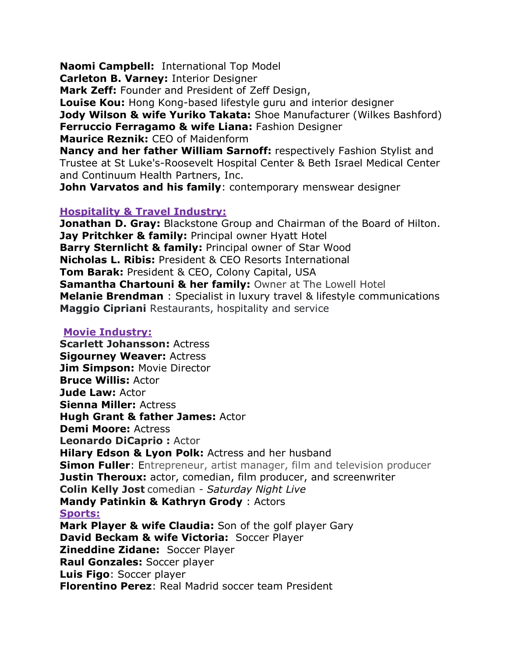**Naomi Campbell:** International Top Model

**Carleton B. Varney:** Interior Designer

**Mark Zeff:** Founder and President of Zeff Design,

**Louise Kou:** Hong Kong-based lifestyle guru and interior designer **Jody Wilson & wife Yuriko Takata:** Shoe Manufacturer (Wilkes Bashford) **Ferruccio Ferragamo & wife Liana:** Fashion Designer **Maurice Reznik:** CEO of Maidenform

**Nancy and her father William Sarnoff:** respectively Fashion Stylist and Trustee at St Luke's-Roosevelt Hospital Center & Beth Israel Medical Center and Continuum Health Partners, Inc.

**John Varvatos and his family: contemporary menswear [designer](https://en.wikipedia.org/wiki/Fashion_design)** 

#### **Hospitality & Travel Industry:**

**Jonathan D. Gray:** Blackstone Group and Chairman of the Board of Hilton. **Jay Pritchker & family: Principal owner Hyatt Hotel Barry Sternlicht & family:** Principal owner of Star Wood **Nicholas L. Ribis:** President & CEO Resorts International **Tom Barak:** President & CEO, Colony Capital, USA **Samantha Chartouni & her family:** Owner at The Lowell Hotel **Melanie Brendman** : Specialist in luxury travel & lifestyle communications **Maggio Cipriani** Restaurants, hospitality and service

#### **Movie Industry:**

**Scarlett Johansson:** Actress **Sigourney Weaver:** Actress **Jim Simpson:** Movie Director **Bruce Willis:** Actor **Jude Law:** Actor **Sienna Miller:** Actress **Hugh Grant & father James:** Actor **Demi Moore:** Actress **Leonardo DiCaprio :** Actor **Hilary Edson & Lyon Polk:** Actress and her husband **Simon Fuller:** Entrepreneur, artist manager, film and television producer **Justin Theroux:** actor, comedian, film producer, and screenwriter **Colin Kelly Jost** comedian - *[Saturday Night Live](https://en.wikipedia.org/wiki/Saturday_Night_Live)* **Mandy Patinkin & [Kathryn Grody](https://www.google.com/search?rlz=1C1GCEA_enMA855&q=Kathryn+Grody&stick=H4sIAAAAAAAAAONgVuLSz9U3MM82TTfLesToyi3w8sc9YSmbSWtOXmM04-IKzsgvd80rySypFNLgYoOy5Lj4pJC0aTBI8XAh8XkWsfJ6J5ZkFFXmKbgX5adUAgDo3su5ZgAAAA)** : Actors **Sports: Mark Player & wife Claudia:** Son of the golf player Gary **David Beckam & wife Victoria:** Soccer Player **Zineddine Zidane:** Soccer Player **Raul Gonzales:** Soccer player **Luis Figo**: Soccer player **Florentino Perez**: Real Madrid soccer team President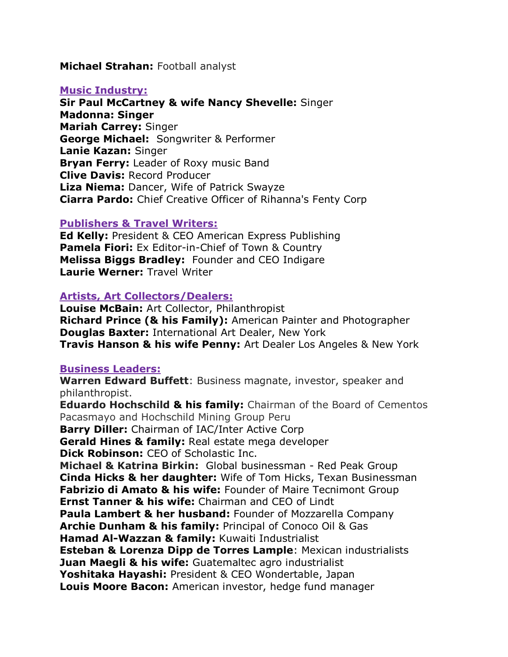#### **Michael Strahan:** Football analyst

#### **Music Industry:**

**Sir Paul McCartney & wife Nancy Shevelle:** Singer **Madonna: Singer Mariah Carrey:** Singer **George Michael:** Songwriter & Performer **Lanie Kazan:** Singer **Bryan Ferry:** Leader of Roxy music Band **Clive Davis:** Record Producer **Liza Niema:** Dancer, Wife of Patrick Swayze **Ciarra Pardo:** Chief Creative Officer of Rihanna's Fenty Corp

#### **Publishers & Travel Writers:**

**Ed Kelly:** President & CEO American Express Publishing **Pamela Fiori:** Ex Editor-in-Chief of Town & Country **Melissa Biggs Bradley:** Founder and CEO Indigare **Laurie Werner:** Travel Writer

#### **Artists, Art Collectors/Dealers:**

**Louise McBain:** Art Collector, Philanthropist **Richard Prince (& his Family):** American Painter and Photographer **Douglas Baxter:** International Art Dealer, New York **Travis Hanson & his wife Penny:** Art Dealer Los Angeles & New York

#### **Business Leaders:**

**Warren Edward Buffett**: Business magnate, investor, speaker and philanthropist.

**Eduardo Hochschild & his family:** Chairman of the Board of Cementos Pacasmayo and Hochschild Mining Group Peru **Barry Diller:** Chairman of IAC/Inter Active Corp **Gerald Hines & family:** Real estate mega developer **Dick Robinson:** CEO of Scholastic Inc. **Michael & Katrina Birkin:** Global businessman - Red Peak Group **Cinda Hicks & her daughter:** Wife of Tom Hicks, Texan Businessman **Fabrizio di Amato & his wife:** Founder of Maire Tecnimont Group **Ernst Tanner & his wife:** Chairman and CEO of Lindt **Paula Lambert & her husband:** Founder of Mozzarella Company **Archie Dunham & his family:** Principal of Conoco Oil & Gas **Hamad Al-Wazzan & family:** Kuwaiti Industrialist **Esteban & Lorenza Dipp de Torres Lample**: Mexican industrialists **Juan Maegli & his wife:** Guatemaltec agro industrialist **Yoshitaka Hayashi:** President & CEO Wondertable, Japan **Louis Moore Bacon:** American investor, hedge fund manager